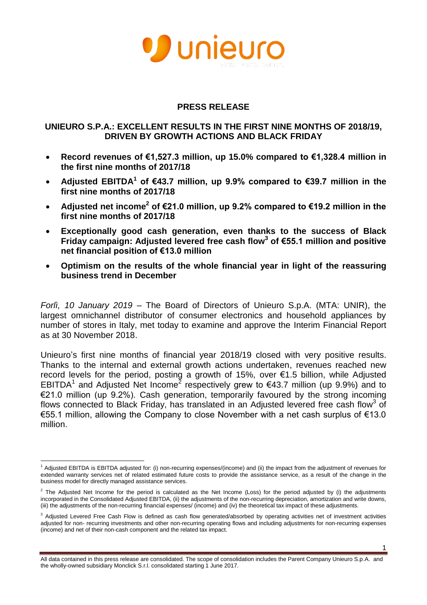

#### **PRESS RELEASE**

#### **UNIEURO S.P.A.: EXCELLENT RESULTS IN THE FIRST NINE MONTHS OF 2018/19, DRIVEN BY GROWTH ACTIONS AND BLACK FRIDAY**

- **Record revenues of €1,527.3 million, up 15.0% compared to €1,328.4 million in the first nine months of 2017/18**
- **Adjusted EBITDA<sup>1</sup> of €43.7 million, up 9.9% compared to €39.7 million in the first nine months of 2017/18**
- **Adjusted net income<sup>2</sup> of €21.0 million, up 9.2% compared to €19.2 million in the first nine months of 2017/18**
- **Exceptionally good cash generation, even thanks to the success of Black Friday campaign: Adjusted levered free cash flow<sup>3</sup> of €55.1 million and positive net financial position of €13.0 million**
- **Optimism on the results of the whole financial year in light of the reassuring business trend in December**

*Forlì, 10 January 2019* – The Board of Directors of Unieuro S.p.A. (MTA: UNIR), the largest omnichannel distributor of consumer electronics and household appliances by number of stores in Italy, met today to examine and approve the Interim Financial Report as at 30 November 2018.

Unieuro's first nine months of financial year 2018/19 closed with very positive results. Thanks to the internal and external growth actions undertaken, revenues reached new record levels for the period, posting a growth of 15%, over €1.5 billion, while Adjusted EBITDA<sup>1</sup> and Adjusted Net Income<sup>2</sup> respectively grew to €43.7 million (up 9.9%) and to €21.0 million (up 9.2%). Cash generation, temporarily favoured by the strong incoming flows connected to Black Friday, has translated in an Adjusted levered free cash flow<sup>3</sup> of €55.1 million, allowing the Company to close November with a net cash surplus of €13.0 million.

 $\overline{\phantom{a}}$ 

All data contained in this press release are consolidated. The scope of consolidation includes the Parent Company Unieuro S.p.A. and the wholly-owned subsidiary Monclick S.r.l. consolidated starting 1 June 2017.

Adjusted EBITDA is EBITDA adjusted for: (i) non-recurring expenses/(income) and (ii) the impact from the adjustment of revenues for extended warranty services net of related estimated future costs to provide the assistance service, as a result of the change in the business model for directly managed assistance services.

 $2$  The Adjusted Net Income for the period is calculated as the Net Income (Loss) for the period adjusted by (i) the adjustments incorporated in the Consolidated Adjusted EBITDA, (ii) the adjustments of the non-recurring depreciation, amortization and write downs, (iii) the adjustments of the non-recurring financial expenses/ (income) and (iv) the theoretical tax impact of these adjustments.

<sup>&</sup>lt;sup>3</sup> Adjusted Levered Free Cash Flow is defined as cash flow generated/absorbed by operating activities net of investment activities adjusted for non- recurring investments and other non-recurring operating flows and including adjustments for non-recurring expenses (income) and net of their non-cash component and the related tax impact.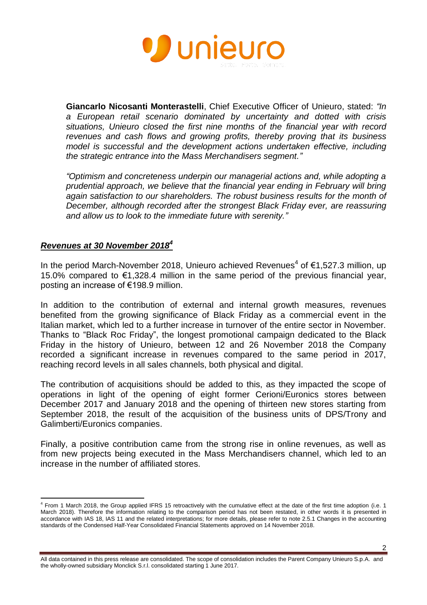

**Giancarlo Nicosanti Monterastelli**, Chief Executive Officer of Unieuro, stated: *"In a European retail scenario dominated by uncertainty and dotted with crisis situations, Unieuro closed the first nine months of the financial year with record revenues and cash flows and growing profits, thereby proving that its business model is successful and the development actions undertaken effective, including the strategic entrance into the Mass Merchandisers segment."*

*"Optimism and concreteness underpin our managerial actions and, while adopting a prudential approach, we believe that the financial year ending in February will bring again satisfaction to our shareholders. The robust business results for the month of December, although recorded after the strongest Black Friday ever, are reassuring and allow us to look to the immediate future with serenity."*

#### *Revenues at 30 November 2018<sup>4</sup>*

In the period March-November 2018, Unieuro achieved Revenues<sup>4</sup> of €1,527.3 million, up 15.0% compared to €1,328.4 million in the same period of the previous financial year, posting an increase of €198.9 million.

In addition to the contribution of external and internal growth measures, revenues benefited from the growing significance of Black Friday as a commercial event in the Italian market, which led to a further increase in turnover of the entire sector in November. Thanks to "Black Roc Friday", the longest promotional campaign dedicated to the Black Friday in the history of Unieuro, between 12 and 26 November 2018 the Company recorded a significant increase in revenues compared to the same period in 2017, reaching record levels in all sales channels, both physical and digital.

The contribution of acquisitions should be added to this, as they impacted the scope of operations in light of the opening of eight former Cerioni/Euronics stores between December 2017 and January 2018 and the opening of thirteen new stores starting from September 2018, the result of the acquisition of the business units of DPS/Trony and Galimberti/Euronics companies.

Finally, a positive contribution came from the strong rise in online revenues, as well as from new projects being executed in the Mass Merchandisers channel, which led to an increase in the number of affiliated stores.

 $\overline{a}$ <sup>4</sup> From 1 March 2018, the Group applied IFRS 15 retroactively with the cumulative effect at the date of the first time adoption (i.e. 1 March 2018). Therefore the information relating to the comparison period has not been restated, in other words it is presented in accordance with IAS 18, IAS 11 and the related interpretations; for more details, please refer to note 2.5.1 Changes in the accounting standards of the Condensed Half-Year Consolidated Financial Statements approved on 14 November 2018.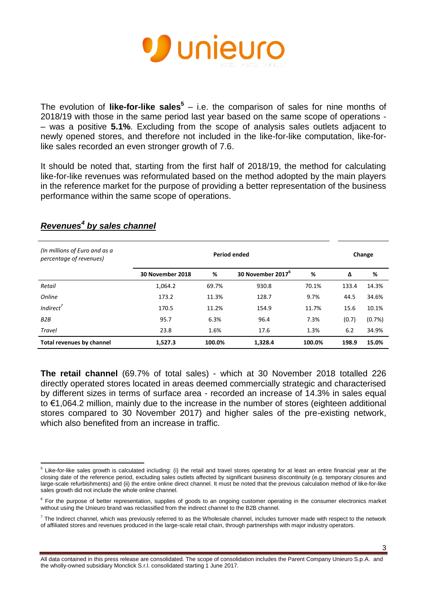

The evolution of **like-for-like sales<sup>5</sup>** – i.e. the comparison of sales for nine months of 2018/19 with those in the same period last year based on the same scope of operations - – was a positive **5.1%**. Excluding from the scope of analysis sales outlets adjacent to newly opened stores, and therefore not included in the like-for-like computation, like-forlike sales recorded an even stronger growth of 7.6.

It should be noted that, starting from the first half of 2018/19, the method for calculating like-for-like revenues was reformulated based on the method adopted by the main players in the reference market for the purpose of providing a better representation of the business performance within the same scope of operations.

| (In millions of Euro and as a<br>percentage of revenues) | <b>Period ended</b> |        |                               |        |       | Change |  |
|----------------------------------------------------------|---------------------|--------|-------------------------------|--------|-------|--------|--|
|                                                          | 30 November 2018    | %      | 30 November 2017 <sup>b</sup> | %      | Δ     | %      |  |
| Retail                                                   | 1,064.2             | 69.7%  | 930.8                         | 70.1%  | 133.4 | 14.3%  |  |
| <b>Online</b>                                            | 173.2               | 11.3%  | 128.7                         | 9.7%   | 44.5  | 34.6%  |  |
| Indirect <sup>'</sup>                                    | 170.5               | 11.2%  | 154.9                         | 11.7%  | 15.6  | 10.1%  |  |
| B2B                                                      | 95.7                | 6.3%   | 96.4                          | 7.3%   | (0.7) | (0.7%) |  |
| <b>Travel</b>                                            | 23.8                | 1.6%   | 17.6                          | 1.3%   | 6.2   | 34.9%  |  |
| <b>Total revenues by channel</b>                         | 1,527.3             | 100.0% | 1,328.4                       | 100.0% | 198.9 | 15.0%  |  |

## *Revenues<sup>4</sup> by sales channel*

**The retail channel** (69.7% of total sales) - which at 30 November 2018 totalled 226 directly operated stores located in areas deemed commercially strategic and characterised by different sizes in terms of surface area - recorded an increase of 14.3% in sales equal to €1,064.2 million, mainly due to the increase in the number of stores (eighteen additional stores compared to 30 November 2017) and higher sales of the pre-existing network, which also benefited from an increase in traffic.

3

 5 Like-for-like sales growth is calculated including: (i) the retail and travel stores operating for at least an entire financial year at the closing date of the reference period, excluding sales outlets affected by significant business discontinuity (e.g. temporary closures and large-scale refurbishments) and (ii) the entire online direct channel. It must be noted that the previous calculation method of like-for-like sales growth did not include the whole online channel.

<sup>&</sup>lt;sup>6</sup> For the purpose of better representation, supplies of goods to an ongoing customer operating in the consumer electronics market without using the Unieuro brand was reclassified from the indirect channel to the B2B channel.

 $^7$  The Indirect channel, which was previously referred to as the Wholesale channel, includes turnover made with respect to the network of affiliated stores and revenues produced in the large-scale retail chain, through partnerships with major industry operators.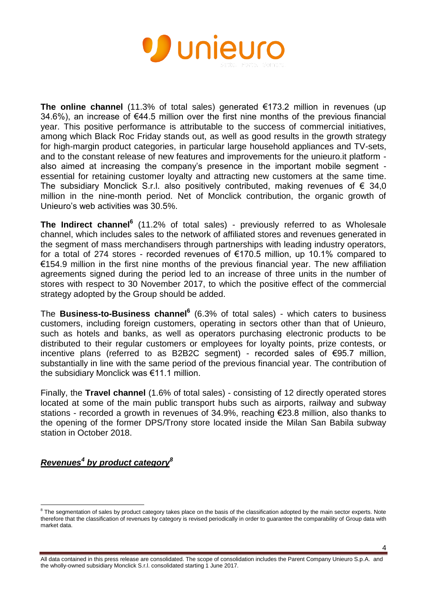

**The online channel** (11.3% of total sales) generated €173.2 million in revenues (up 34.6%), an increase of €44.5 million over the first nine months of the previous financial year. This positive performance is attributable to the success of commercial initiatives, among which Black Roc Friday stands out, as well as good results in the growth strategy for high-margin product categories, in particular large household appliances and TV-sets, and to the constant release of new features and improvements for the unieuro.it platform also aimed at increasing the company's presence in the important mobile segment essential for retaining customer loyalty and attracting new customers at the same time. The subsidiary Monclick S.r.l. also positively contributed, making revenues of  $\epsilon$  34,0 million in the nine-month period. Net of Monclick contribution, the organic growth of Unieuro's web activities was 30.5%.

**The Indirect channel<sup>6</sup>** (11.2% of total sales) - previously referred to as Wholesale channel, which includes sales to the network of affiliated stores and revenues generated in the segment of mass merchandisers through partnerships with leading industry operators, for a total of 274 stores - recorded revenues of €170.5 million, up 10.1% compared to €154.9 million in the first nine months of the previous financial year. The new affiliation agreements signed during the period led to an increase of three units in the number of stores with respect to 30 November 2017, to which the positive effect of the commercial strategy adopted by the Group should be added.

The **Business-to-Business channel<sup>6</sup>** (6.3% of total sales) - which caters to business customers, including foreign customers, operating in sectors other than that of Unieuro, such as hotels and banks, as well as operators purchasing electronic products to be distributed to their regular customers or employees for loyalty points, prize contests, or incentive plans (referred to as B2B2C segment) - recorded sales of €95.7 million, substantially in line with the same period of the previous financial year. The contribution of the subsidiary Monclick was €11.1 million.

Finally, the **Travel channel** (1.6% of total sales) - consisting of 12 directly operated stores located at some of the main public transport hubs such as airports, railway and subway stations - recorded a growth in revenues of 34.9%, reaching €23.8 million, also thanks to the opening of the former DPS/Trony store located inside the Milan San Babila subway station in October 2018.

# *Revenues<sup>4</sup> by product category<sup>8</sup>*

e<br>The segmentation of sales by product category takes place on the basis of the classification adopted by the main sector experts. Note therefore that the classification of revenues by category is revised periodically in order to guarantee the comparability of Group data with market data.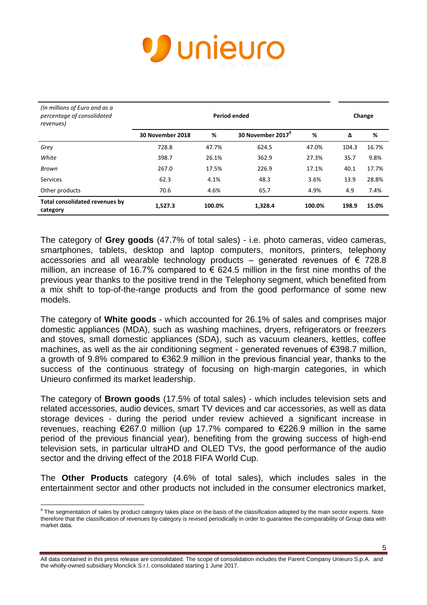

| (In millions of Euro and as a<br>percentage of consolidated<br>revenues) | Period ended     |        |                               |        |       | Change |  |
|--------------------------------------------------------------------------|------------------|--------|-------------------------------|--------|-------|--------|--|
|                                                                          | 30 November 2018 | %      | 30 November 2017 <sup>°</sup> | %      | Δ     | %      |  |
| Grey                                                                     | 728.8            | 47.7%  | 624.5                         | 47.0%  | 104.3 | 16.7%  |  |
| White                                                                    | 398.7            | 26.1%  | 362.9                         | 27.3%  | 35.7  | 9.8%   |  |
| Brown                                                                    | 267.0            | 17.5%  | 226.9                         | 17.1%  | 40.1  | 17.7%  |  |
| Services                                                                 | 62.3             | 4.1%   | 48.3                          | 3.6%   | 13.9  | 28.8%  |  |
| Other products                                                           | 70.6             | 4.6%   | 65.7                          | 4.9%   | 4.9   | 7.4%   |  |
| Total consolidated revenues by<br>category                               | 1,527.3          | 100.0% | 1,328.4                       | 100.0% | 198.9 | 15.0%  |  |

The category of **Grey goods** (47.7% of total sales) - i.e. photo cameras, video cameras, smartphones, tablets, desktop and laptop computers, monitors, printers, telephony accessories and all wearable technology products – generated revenues of  $\epsilon$  728.8 million, an increase of 16.7% compared to  $\epsilon$  624.5 million in the first nine months of the previous year thanks to the positive trend in the Telephony segment, which benefited from a mix shift to top-of-the-range products and from the good performance of some new models.

The category of **White goods** - which accounted for 26.1% of sales and comprises major domestic appliances (MDA), such as washing machines, dryers, refrigerators or freezers and stoves, small domestic appliances (SDA), such as vacuum cleaners, kettles, coffee machines, as well as the air conditioning segment - generated revenues of €398.7 million, a growth of 9.8% compared to €362.9 million in the previous financial year, thanks to the success of the continuous strategy of focusing on high-margin categories, in which Unieuro confirmed its market leadership.

The category of **Brown goods** (17.5% of total sales) - which includes television sets and related accessories, audio devices, smart TV devices and car accessories, as well as data storage devices - during the period under review achieved a significant increase in revenues, reaching €267.0 million (up 17.7% compared to €226.9 million in the same period of the previous financial year), benefiting from the growing success of high-end television sets, in particular ultraHD and OLED TVs, the good performance of the audio sector and the driving effect of the 2018 FIFA World Cup.

The **Other Products** category (4.6% of total sales), which includes sales in the entertainment sector and other products not included in the consumer electronics market,

 9 The segmentation of sales by product category takes place on the basis of the classification adopted by the main sector experts. Note therefore that the classification of revenues by category is revised periodically in order to guarantee the comparability of Group data with market data.

All data contained in this press release are consolidated. The scope of consolidation includes the Parent Company Unieuro S.p.A. and the wholly-owned subsidiary Monclick S.r.l. consolidated starting 1 June 2017.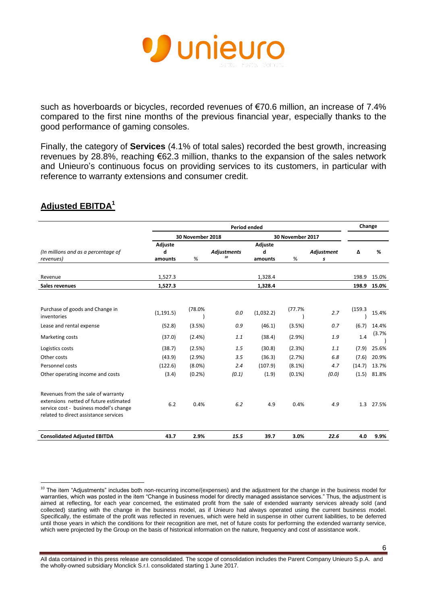

such as hoverboards or bicycles, recorded revenues of €70.6 million, an increase of 7.4% compared to the first nine months of the previous financial year, especially thanks to the good performance of gaming consoles.

Finally, the category of **Services** (4.1% of total sales) recorded the best growth, increasing revenues by 28.8%, reaching €62.3 million, thanks to the expansion of the sales network and Unieuro's continuous focus on providing services to its customers, in particular with reference to warranty extensions and consumer credit.

|                                                                                                                                                                | <b>Period ended</b>                  |           |                          |                |           |            |         | Change |
|----------------------------------------------------------------------------------------------------------------------------------------------------------------|--------------------------------------|-----------|--------------------------|----------------|-----------|------------|---------|--------|
|                                                                                                                                                                | 30 November 2018<br>30 November 2017 |           |                          |                |           |            |         |        |
|                                                                                                                                                                | Adjuste                              |           |                          | <b>Adjuste</b> |           |            |         |        |
| (In millions and as a percentage of                                                                                                                            | d                                    |           | <b>Adjustments</b><br>10 | d              |           | Adjustment | Δ       | %      |
| revenues)                                                                                                                                                      | amounts                              | %         |                          | amounts        | %         | s          |         |        |
| Revenue                                                                                                                                                        | 1,527.3                              |           |                          | 1,328.4        |           |            | 198.9   | 15.0%  |
| Sales revenues                                                                                                                                                 | 1,527.3                              |           |                          | 1,328.4        |           |            | 198.9   | 15.0%  |
|                                                                                                                                                                |                                      |           |                          |                |           |            |         |        |
| Purchase of goods and Change in<br>inventories                                                                                                                 | (1, 191.5)                           | (78.0%    | 0.0                      | (1,032.2)      | (77.7%    | 2.7        | (159.3) | 15.4%  |
| Lease and rental expense                                                                                                                                       | (52.8)                               | (3.5%)    | 0.9                      | (46.1)         | (3.5%)    | 0.7        | (6.7)   | 14.4%  |
| Marketing costs                                                                                                                                                | (37.0)                               | (2.4% )   | 1.1                      | (38.4)         | (2.9%)    | 1.9        | 1.4     | (3.7%  |
| Logistics costs                                                                                                                                                | (38.7)                               | (2.5%)    | 1.5                      | (30.8)         | (2.3%)    | 1.1        | (7.9)   | 25.6%  |
| Other costs                                                                                                                                                    | (43.9)                               | (2.9%)    | 3.5                      | (36.3)         | (2.7%)    | 6.8        | (7.6)   | 20.9%  |
| Personnel costs                                                                                                                                                | (122.6)                              | $(8.0\%)$ | 2.4                      | (107.9)        | (8.1%)    | 4.7        | (14.7)  | 13.7%  |
| Other operating income and costs                                                                                                                               | (3.4)                                | (0.2%     | (0.1)                    | (1.9)          | $(0.1\%)$ | (0.0)      | (1.5)   | 81.8%  |
| Revenues from the sale of warranty<br>extensions netted of future estimated<br>service cost - business model's change<br>related to direct assistance services | 6.2                                  | 0.4%      | 6.2                      | 4.9            | 0.4%      | 4.9        | 1.3     | 27.5%  |
| <b>Consolidated Adjusted EBITDA</b>                                                                                                                            | 43.7                                 | 2.9%      | 15.5                     | 39.7           | 3.0%      | 22.6       | 4.0     | 9.9%   |

## **Adjusted EBITDA<sup>1</sup>**

 $\overline{a}$  $10$  The item "Adjustments" includes both non-recurring income/(expenses) and the adjustment for the change in the business model for warranties, which was posted in the item "Change in business model for directly managed assistance services." Thus, the adjustment is aimed at reflecting, for each year concerned, the estimated profit from the sale of extended warranty services already sold (and collected) starting with the change in the business model, as if Unieuro had always operated using the current business model. Specifically, the estimate of the profit was reflected in revenues, which were held in suspense in other current liabilities, to be deferred until those years in which the conditions for their recognition are met, net of future costs for performing the extended warranty service, which were projected by the Group on the basis of historical information on the nature, frequency and cost of assistance work.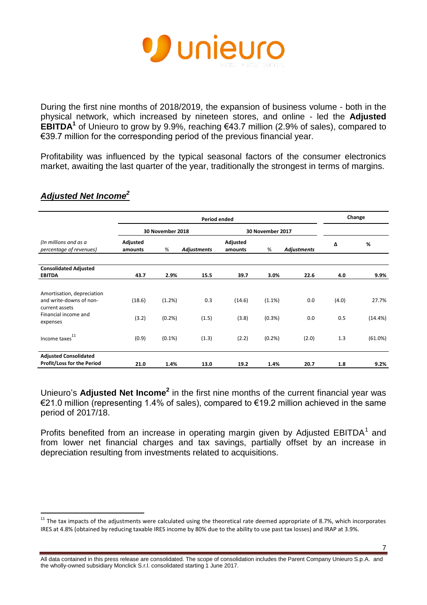

During the first nine months of 2018/2019, the expansion of business volume - both in the physical network, which increased by nineteen stores, and online - led the **Adjusted EBITDA<sup>1</sup>** of Unieuro to grow by 9.9%, reaching €43.7 million (2.9% of sales), compared to €39.7 million for the corresponding period of the previous financial year.

Profitability was influenced by the typical seasonal factors of the consumer electronics market, awaiting the last quarter of the year, traditionally the strongest in terms of margins.

|                                                                         | <b>Period ended</b> |                  |                    |                     |                  | Change             |       |          |
|-------------------------------------------------------------------------|---------------------|------------------|--------------------|---------------------|------------------|--------------------|-------|----------|
|                                                                         |                     | 30 November 2018 |                    |                     | 30 November 2017 |                    |       |          |
| (In millions and as a<br>percentage of revenues)                        | Adjusted<br>amounts | $\%$             | <b>Adjustments</b> | Adjusted<br>amounts | %                | <b>Adjustments</b> | Δ     | %        |
| <b>Consolidated Adjusted</b><br><b>EBITDA</b>                           | 43.7                | 2.9%             | 15.5               | 39.7                | 3.0%             | 22.6               | 4.0   | 9.9%     |
|                                                                         |                     |                  |                    |                     |                  |                    |       |          |
| Amortisation, depreciation<br>and write-downs of non-<br>current assets | (18.6)              | (1.2%)           | 0.3                | (14.6)              | (1.1%)           | 0.0                | (4.0) | 27.7%    |
| Financial income and<br>expenses                                        | (3.2)               | (0.2%            | (1.5)              | (3.8)               | (0.3% )          | 0.0                | 0.5   | (14.4% ) |
| Income taxes <sup>11</sup>                                              | (0.9)               | $(0.1\%)$        | (1.3)              | (2.2)               | (0.2%            | (2.0)              | 1.3   | (61.0%)  |
| <b>Adjusted Consolidated</b><br><b>Profit/Loss for the Period</b>       | 21.0                | 1.4%             | 13.0               | 19.2                | 1.4%             | 20.7               | 1.8   | 9.2%     |

## *Adjusted Net Income<sup>2</sup>*

l

Unieuro's **Adjusted Net Income<sup>2</sup>** in the first nine months of the current financial year was €21.0 million (representing 1.4% of sales), compared to €19.2 million achieved in the same period of 2017/18.

Profits benefited from an increase in operating margin given by Adjusted  $EBITDA<sup>1</sup>$  and from lower net financial charges and tax savings, partially offset by an increase in depreciation resulting from investments related to acquisitions.

 $11$  The tax impacts of the adjustments were calculated using the theoretical rate deemed appropriate of 8.7%, which incorporates IRES at 4.8% (obtained by reducing taxable IRES income by 80% due to the ability to use past tax losses) and IRAP at 3.9%.

All data contained in this press release are consolidated. The scope of consolidation includes the Parent Company Unieuro S.p.A. and the wholly-owned subsidiary Monclick S.r.l. consolidated starting 1 June 2017.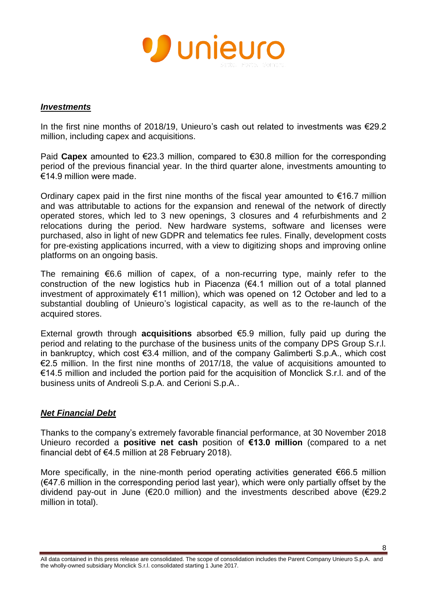

#### *Investments*

In the first nine months of 2018/19, Unieuro's cash out related to investments was €29.2 million, including capex and acquisitions.

Paid **Capex** amounted to €23.3 million, compared to €30.8 million for the corresponding period of the previous financial year. In the third quarter alone, investments amounting to €14.9 million were made.

Ordinary capex paid in the first nine months of the fiscal year amounted to  $\epsilon$ 16.7 million and was attributable to actions for the expansion and renewal of the network of directly operated stores, which led to 3 new openings, 3 closures and 4 refurbishments and 2 relocations during the period. New hardware systems, software and licenses were purchased, also in light of new GDPR and telematics fee rules. Finally, development costs for pre-existing applications incurred, with a view to digitizing shops and improving online platforms on an ongoing basis.

The remaining €6.6 million of capex, of a non-recurring type, mainly refer to the construction of the new logistics hub in Piacenza  $(64.1 \text{ million out of a total planned})$ investment of approximately €11 million), which was opened on 12 October and led to a substantial doubling of Unieuro's logistical capacity, as well as to the re-launch of the acquired stores.

External growth through **acquisitions** absorbed €5.9 million, fully paid up during the period and relating to the purchase of the business units of the company DPS Group S.r.l. in bankruptcy, which cost €3.4 million, and of the company Galimberti S.p.A., which cost  $\epsilon$ 2.5 million. In the first nine months of 2017/18, the value of acquisitions amounted to €14.5 million and included the portion paid for the acquisition of Monclick S.r.l. and of the business units of Andreoli S.p.A. and Cerioni S.p.A..

### *Net Financial Debt*

Thanks to the company's extremely favorable financial performance, at 30 November 2018 Unieuro recorded a **positive net cash** position of **€13.0 million** (compared to a net financial debt of €4.5 million at 28 February 2018).

More specifically, in the nine-month period operating activities generated  $\epsilon$ 66.5 million (€47.6 million in the corresponding period last year), which were only partially offset by the dividend pay-out in June (€20.0 million) and the investments described above (€29.2 million in total).

All data contained in this press release are consolidated. The scope of consolidation includes the Parent Company Unieuro S.p.A. and the wholly-owned subsidiary Monclick S.r.l. consolidated starting 1 June 2017.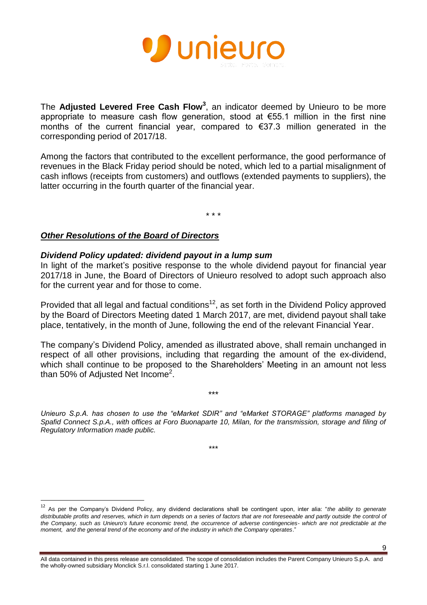

The **Adjusted Levered Free Cash Flow<sup>3</sup>** , an indicator deemed by Unieuro to be more appropriate to measure cash flow generation, stood at €55.1 million in the first nine months of the current financial year, compared to €37.3 million generated in the corresponding period of 2017/18.

Among the factors that contributed to the excellent performance, the good performance of revenues in the Black Friday period should be noted, which led to a partial misalignment of cash inflows (receipts from customers) and outflows (extended payments to suppliers), the latter occurring in the fourth quarter of the financial year.

\* \* \*

### *Other Resolutions of the Board of Directors*

 $\overline{a}$ 

#### *Dividend Policy updated: dividend payout in a lump sum*

In light of the market's positive response to the whole dividend payout for financial year 2017/18 in June, the Board of Directors of Unieuro resolved to adopt such approach also for the current year and for those to come.

Provided that all legal and factual conditions<sup>12</sup>, as set forth in the Dividend Policy approved by the Board of Directors Meeting dated 1 March 2017, are met, dividend payout shall take place, tentatively, in the month of June, following the end of the relevant Financial Year.

The company's Dividend Policy, amended as illustrated above, shall remain unchanged in respect of all other provisions, including that regarding the amount of the ex-dividend, which shall continue to be proposed to the Shareholders' Meeting in an amount not less than 50% of Adjusted Net Income<sup>2</sup>.

*Unieuro S.p.A. has chosen to use the "eMarket SDIR" and "eMarket STORAGE" platforms managed by Spafid Connect S.p.A., with offices at Foro Buonaparte 10, Milan, for the transmission, storage and filing of Regulatory Information made public.* 

\*\*\*

\*\*\*

9

<sup>12</sup> As per the Company's Dividend Policy, any dividend declarations shall be contingent upon, inter alia: "*the ability to generate*  distributable profits and reserves, which in turn depends on a series of factors that are not foreseeable and partly outside the control of *the Company, such as Unieuro's future economic trend, the occurrence of adverse contingencies- which are not predictable at the moment, and the general trend of the economy and of the industry in which the Company operates*."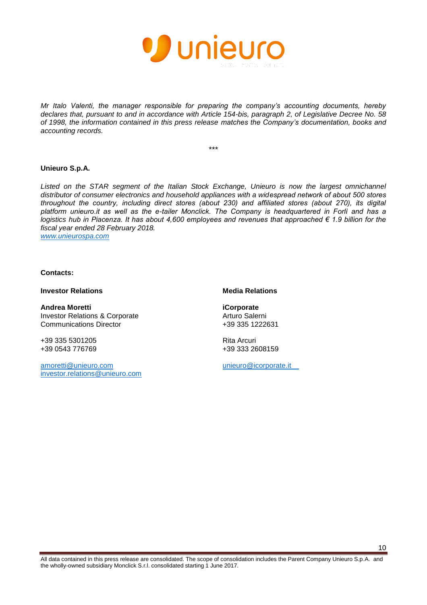

*Mr Italo Valenti, the manager responsible for preparing the company's accounting documents, hereby declares that, pursuant to and in accordance with Article 154-bis, paragraph 2, of Legislative Decree No. 58 of 1998, the information contained in this press release matches the Company's documentation, books and accounting records.* 

\*\*\*

#### **Unieuro S.p.A.**

Listed on the STAR segment of the Italian Stock Exchange, Unieuro is now the largest omnichannel *distributor of consumer electronics and household appliances with a widespread network of about 500 stores throughout the country, including direct stores (about 230) and affiliated stores (about 270), its digital platform unieuro.it as well as the e-tailer Monclick. The Company is headquartered in Forlì and has a logistics hub in Piacenza. It has about 4,600 employees and revenues that approached € 1.9 billion for the fiscal year ended 28 February 2018. [www.unieurospa.com](http://www.unieurospa.com/)*

#### **Contacts:**

**Investor Relations Media Relations** 

**Andrea Moretti iCorporate** Investor Relations & Corporate Communications Director

+39 335 5301205 Rita Arcuri

[amoretti@unieuro.com](mailto:amoretti@unieuro.com) investor.relations@unieuro.com

Arturo Salerni +39 335 1222631

+39 333 2608159

[unieuro@icorporate.it](mailto:unieuro@icorporate.it)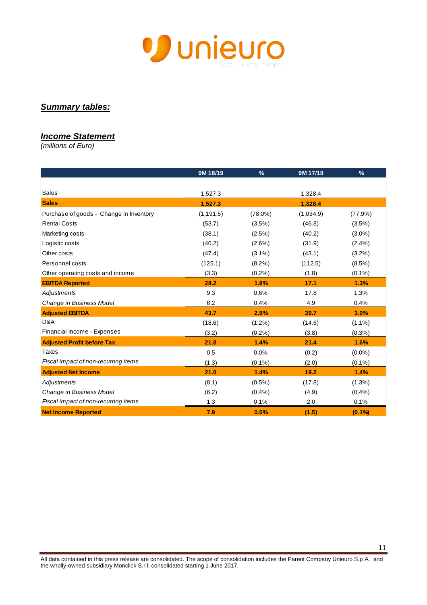

## *Summary tables:*

#### *Income Statement*

*(millions of Euro)*

|                                         | 9M 18/19   | $\frac{9}{6}$ | 9M 17/18  | $\frac{9}{6}$ |
|-----------------------------------------|------------|---------------|-----------|---------------|
|                                         |            |               |           |               |
| Sales                                   | 1,527.3    |               | 1,328.4   |               |
| <b>Sales</b>                            | 1,527.3    |               | 1,328.4   |               |
| Purchase of goods - Change in Inventory | (1, 191.5) | $(78.0\%)$    | (1,034.9) | (77.9%)       |
| <b>Rental Costs</b>                     | (53.7)     | (3.5%)        | (46.8)    | (3.5%)        |
| Marketing costs                         | (38.1)     | $(2.5\%)$     | (40.2)    | $(3.0\%)$     |
| Logistic costs                          | (40.2)     | (2.6%)        | (31.9)    | $(2.4\%)$     |
| Other costs                             | (47.4)     | $(3.1\%)$     | (43.1)    | $(3.2\%)$     |
| Personnel costs                         | (125.1)    | $(8.2\%)$     | (112.5)   | $(8.5\%)$     |
| Other operating costs and income        | (3.3)      | $(0.2\%)$     | (1.8)     | $(0.1\%)$     |
| <b>EBITDA Reported</b>                  | 28.2       | 1.8%          | 17.1      | 1.3%          |
| Adjustments                             | 9.3        | 0.6%          | 17.8      | 1.3%          |
| Change in Business Model                | 6.2        | 0.4%          | 4.9       | 0.4%          |
| <b>Adjusted EBITDA</b>                  | 43.7       | 2.9%          | 39.7      | 3.0%          |
| D&A                                     | (18.6)     | $(1.2\%)$     | (14.6)    | $(1.1\%)$     |
| Financial Income - Expenses             | (3.2)      | (0.2%)        | (3.8)     | $(0.3\%)$     |
| <b>Adjusted Profit before Tax</b>       | 21.8       | 1.4%          | 21.4      | 1.6%          |
| Taxes                                   | 0.5        | 0.0%          | (0.2)     | $(0.0\%)$     |
| Fiscal impact of non-recurring items    | (1.3)      | $(0.1\%)$     | (2.0)     | $(0.1\%)$     |
| <b>Adjusted Net Income</b>              | 21.0       | 1.4%          | 19.2      | 1.4%          |
| Adjustments                             | (8.1)      | $(0.5\%)$     | (17.8)    | (1.3%)        |
| Change in Business Model                | (6.2)      | $(0.4\%)$     | (4.9)     | (0.4% )       |
| Fiscal impact of non-recurring items    | 1.3        | 0.1%          | 2.0       | 0.1%          |
| <b>Net Income Reported</b>              | 7.9        | 0.5%          | (1.5)     | (0.1%         |

11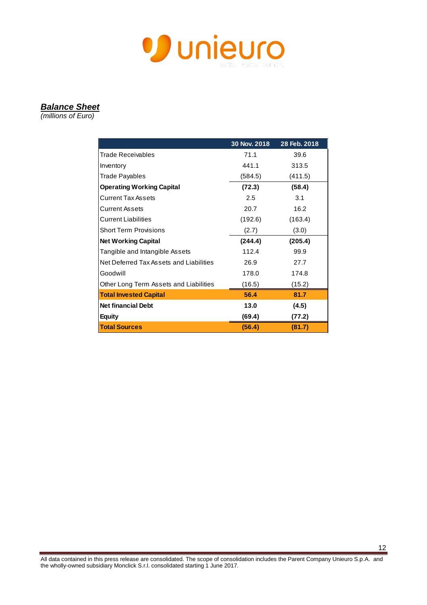

#### *Balance Sheet*

*(millions of Euro)*

|                                         | 30 Nov. 2018 | 28 Feb. 2018 |
|-----------------------------------------|--------------|--------------|
| <b>Trade Receivables</b>                | 71.1         | 39.6         |
| Inventory                               | 441.1        | 313.5        |
| Trade Payables                          | (584.5)      | (411.5)      |
| <b>Operating Working Capital</b>        | (72.3)       | (58.4)       |
| <b>Current Tax Assets</b>               | 2.5          | 3.1          |
| <b>Current Assets</b>                   | 20.7         | 16.2         |
| <b>Current Liabilities</b>              | (192.6)      | (163.4)      |
| <b>Short Term Provisions</b>            | (2.7)        | (3.0)        |
| <b>Net Working Capital</b>              | (244.4)      | (205.4)      |
| Tangible and Intangible Assets          | 112.4        | 99.9         |
| Net Deferred Tax Assets and Liabilities | 26.9         | 27.7         |
| Goodwill                                | 178.0        | 174.8        |
| Other Long Term Assets and Liabilities  | (16.5)       | (15.2)       |
| <b>Total Invested Capital</b>           | 56.4         | 81.7         |
| <b>Net financial Debt</b>               | 13.0         | (4.5)        |
| <b>Equity</b>                           | (69.4)       | (77.2)       |
| <b>Total Sources</b>                    | (56.4)       | (81.7)       |